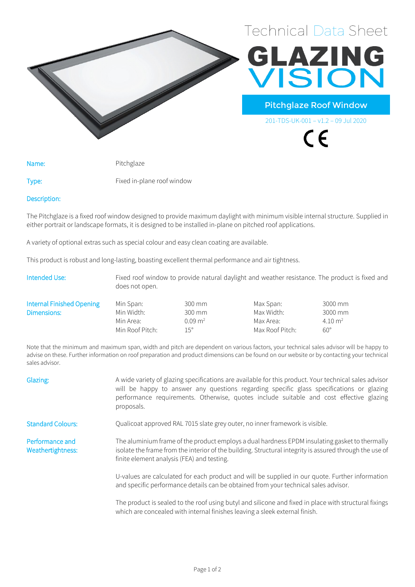



Pitchglaze Roof Window

201-TDS-UK-001 – v1.2 – 09 Jul 2020

 $\epsilon$ 

Name: Pitchglaze

Type: Fixed in-plane roof window

Description:

The Pitchglaze is a fixed roof window designed to provide maximum daylight with minimum visible internal structure. Supplied in either portrait or landscape formats, it is designed to be installed in-plane on pitched roof applications.

A variety of optional extras such as special colour and easy clean coating are available.

This product is robust and long-lasting, boasting excellent thermal performance and air tightness.

| Intended Use:             | does not open.  |                    |                 | Fixed roof window to provide natural daylight and weather resistance. The product is fixed and |
|---------------------------|-----------------|--------------------|-----------------|------------------------------------------------------------------------------------------------|
| Internal Finished Opening | Min Span:       | 300 mm             | Max Span:       | 3000 mm                                                                                        |
| Dimensions:               | Min Width:      | 300 mm             | Max Width:      | 3000 mm                                                                                        |
|                           | Min Area:       | $0.09 \text{ m}^2$ | Max Area:       | $4.10 \text{ m}^2$                                                                             |
|                           | Min Roof Pitch: | $15^{\circ}$       | Max Roof Pitch: | $60^{\circ}$                                                                                   |

Note that the minimum and maximum span, width and pitch are dependent on various factors, your technical sales advisor will be happy to advise on these. Further information on roof preparation and product dimensions can be found on our website or by contacting your technical sales advisor.

| Glazing:                             | A wide variety of glazing specifications are available for this product. Your technical sales advisor<br>will be happy to answer any questions regarding specific glass specifications or glazing<br>performance requirements. Otherwise, quotes include suitable and cost effective glazing<br>proposals. |
|--------------------------------------|------------------------------------------------------------------------------------------------------------------------------------------------------------------------------------------------------------------------------------------------------------------------------------------------------------|
| <b>Standard Colours:</b>             | Qualicoat approved RAL 7015 slate grey outer, no inner framework is visible.                                                                                                                                                                                                                               |
| Performance and<br>Weathertightness: | The aluminium frame of the product employs a dual hardness EPDM insulating gasket to thermally<br>isolate the frame from the interior of the building. Structural integrity is assured through the use of<br>finite element analysis (FEA) and testing.                                                    |
|                                      | U-values are calculated for each product and will be supplied in our quote. Further information<br>and specific performance details can be obtained from your technical sales advisor.                                                                                                                     |
|                                      | The product is sealed to the roof using butyl and silicone and fixed in place with structural fixings                                                                                                                                                                                                      |

The product is sealed to the roof using butyl and silicone and fixed in place with structural fixings which are concealed with internal finishes leaving a sleek external finish.